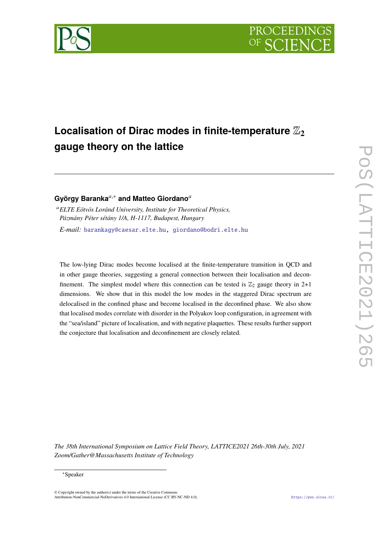

# Localisation of Dirac modes in finite-temperature  $\mathbb{Z}_2$ **gauge theory on the lattice**

## György Baranka<sup>a,∗</sup> and Matteo Giordano<sup>a</sup>

<sup>𝑎</sup>*ELTE Eötvös Loránd University, Institute for Theoretical Physics, Pázmány Péter sétány 1/A, H-1117, Budapest, Hungary E-mail:* [barankagy@caesar.elte.hu,](mailto:barankagy@caesar.elte.hu) [giordano@bodri.elte.hu](mailto:giordano@bodri.elte.hu)

The low-lying Dirac modes become localised at the finite-temperature transition in QCD and in other gauge theories, suggesting a general connection between their localisation and deconfinement. The simplest model where this connection can be tested is  $\mathbb{Z}_2$  gauge theory in 2+1 dimensions. We show that in this model the low modes in the staggered Dirac spectrum are delocalised in the confined phase and become localised in the deconfined phase. We also show that localised modes correlate with disorder in the Polyakov loop configuration, in agreement with the "sea/island" picture of localisation, and with negative plaquettes. These results further support the conjecture that localisation and deconfinement are closely related.

*The 38th International Symposium on Lattice Field Theory, LATTICE2021 26th-30th July, 2021 Zoom/Gather@Massachusetts Institute of Technology*

#### <sup>∗</sup>Speaker

 $\odot$  Copyright owned by the author(s) under the terms of the Creative Common Attribution-NonCommercial-NoDerivatives 4.0 International License (CC BY-NC-ND 4.0). <https://pos.sissa.it/>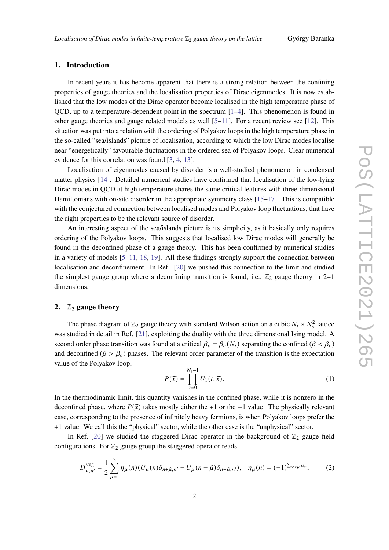### **1. Introduction**

In recent years it has become apparent that there is a strong relation between the confining properties of gauge theories and the localisation properties of Dirac eigenmodes. It is now established that the low modes of the Dirac operator become localised in the high temperature phase of OCD, up to a temperature-dependent point in the spectrum  $[1-4]$  $[1-4]$ . This phenomenon is found in other gauge theories and gauge related models as well  $[5-11]$  $[5-11]$ . For a recent review see [\[12\]](#page-7-1). This situation was put into a relation with the ordering of Polyakov loops in the high temperature phase in the so-called "sea/islands" picture of localisation, according to which the low Dirac modes localise near "energetically" favourable fluctuations in the ordered sea of Polyakov loops. Clear numerical evidence for this correlation was found [\[3,](#page-6-3) [4,](#page-6-1) [13\]](#page-7-2).

Localisation of eigenmodes caused by disorder is a well-studied phenomenon in condensed matter physics [\[14\]](#page-7-3). Detailed numerical studies have confirmed that localisation of the low-lying Dirac modes in QCD at high temperature shares the same critical features with three-dimensional Hamiltonians with on-site disorder in the appropriate symmetry class [\[15](#page-7-4)[–17\]](#page-7-5). This is compatible with the conjectured connection between localised modes and Polyakov loop fluctuations, that have the right properties to be the relevant source of disorder.

An interesting aspect of the sea/islands picture is its simplicity, as it basically only requires ordering of the Polyakov loops. This suggests that localised low Dirac modes will generally be found in the deconfined phase of a gauge theory. This has been confirmed by numerical studies in a variety of models  $[5-11, 18, 19]$  $[5-11, 18, 19]$  $[5-11, 18, 19]$  $[5-11, 18, 19]$  $[5-11, 18, 19]$  $[5-11, 18, 19]$ . All these findings strongly support the connection between localisation and deconfinement. In Ref. [\[20\]](#page-7-8) we pushed this connection to the limit and studied the simplest gauge group where a deconfining transition is found, i.e.,  $\mathbb{Z}_2$  gauge theory in 2+1 dimensions.

#### **2.**  $\mathbb{Z}_2$  **gauge theory**

The phase diagram of  $\mathbb{Z}_2$  gauge theory with standard Wilson action on a cubic  $N_t \times N_s^2$  lattice was studied in detail in Ref. [\[21\]](#page-7-9), exploiting the duality with the three dimensional Ising model. A second order phase transition was found at a critical  $\beta_c = \beta_c(N_t)$  separating the confined  $(\beta < \beta_c)$ and deconfined ( $\beta > \beta_c$ ) phases. The relevant order parameter of the transition is the expectation value of the Polyakov loop,

$$
P(\vec{x}) = \prod_{z=0}^{N_t - 1} U_1(t, \vec{x}).
$$
 (1)

In the thermodinamic limit, this quantity vanishes in the confined phase, while it is nonzero in the deconfined phase, where  $P(\vec{x})$  takes mostly either the +1 or the −1 value. The physically relevant case, corresponding to the presence of infinitely heavy fermions, is when Polyakov loops prefer the +1 value. We call this the "physical" sector, while the other case is the "unphysical" sector.

In Ref. [\[20\]](#page-7-8) we studied the staggered Dirac operator in the background of  $\mathbb{Z}_2$  gauge field configurations. For  $\mathbb{Z}_2$  gauge group the staggered operator reads

$$
D_{n,n'}^{\text{stag}} = \frac{1}{2} \sum_{\mu=1}^{3} \eta_{\mu}(n) (U_{\mu}(n)\delta_{n+\hat{\mu},n'} - U_{\mu}(n-\hat{\mu})\delta_{n-\hat{\mu},n'}), \quad \eta_{\mu}(n) = (-1)^{\sum_{\nu < \mu} n_{\nu}},\tag{2}
$$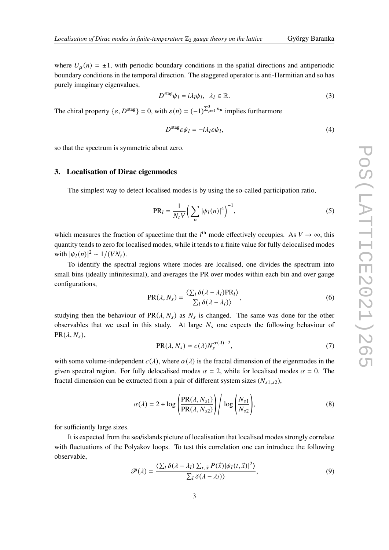where  $U_{\mu}(n) = \pm 1$ , with periodic boundary conditions in the spatial directions and antiperiodic boundary conditions in the temporal direction. The staggered operator is anti-Hermitian and so has purely imaginary eigenvalues,

$$
D^{\text{stag}}\psi_l = i\lambda_l \psi_l, \ \lambda_l \in \mathbb{R}.\tag{3}
$$

The chiral property  $\{\varepsilon, D^{\text{stag}}\} = 0$ , with  $\varepsilon(n) = (-1)^{\sum_{\mu=1}^{3} n_{\mu}}$  implies furthermore

$$
D^{\text{stag}} \varepsilon \psi_l = -i\lambda_l \varepsilon \psi_l,\tag{4}
$$

so that the spectrum is symmetric about zero.

#### **3. Localisation of Dirac eigenmodes**

The simplest way to detect localised modes is by using the so-called participation ratio,

$$
PR_{l} = \frac{1}{N_{t}V} \left( \sum_{n} |\psi_{l}(n)|^{4} \right)^{-1},
$$
\n(5)

which measures the fraction of spacetime that the  $l^{\text{th}}$  mode effectively occupies. As  $V \rightarrow \infty$ , this quantity tends to zero for localised modes, while it tends to a finite value for fully delocalised modes with  $|\psi_I(n)|^2 \sim 1/(VN_t)$ .

To identify the spectral regions where modes are localised, one divides the spectrum into small bins (ideally infinitesimal), and averages the PR over modes within each bin and over gauge configurations,

$$
PR(\lambda, N_s) = \frac{\langle \sum_l \delta(\lambda - \lambda_l) PR_l \rangle}{\sum_l \delta(\lambda - \lambda_l) \rangle},
$$
\n(6)

studying then the behaviour of  $PR(\lambda, N_s)$  as  $N_s$  is changed. The same was done for the other observables that we used in this study. At large  $N_s$  one expects the following behaviour of  $PR(\lambda, N_s),$ 

$$
PR(\lambda, N_s) \simeq c(\lambda) N_s^{\alpha(\lambda)-2},\tag{7}
$$

with some volume-independent  $c(\lambda)$ , where  $\alpha(\lambda)$  is the fractal dimension of the eigenmodes in the given spectral region. For fully delocalised modes  $\alpha = 2$ , while for localised modes  $\alpha = 0$ . The fractal dimension can be extracted from a pair of different system sizes  $(N_{s1,s2})$ ,

$$
\alpha(\lambda) = 2 + \log \left( \frac{\text{PR}(\lambda, N_{s1})}{\text{PR}(\lambda, N_{s2})} \right) / \log \left( \frac{N_{s1}}{N_{s2}} \right),\tag{8}
$$

for sufficiently large sizes.

It is expected from the sea/islands picture of localisation that localised modes strongly correlate with fluctuations of the Polyakov loops. To test this correlation one can introduce the following observable,

$$
\mathcal{P}(\lambda) = \frac{\langle \sum_{l} \delta(\lambda - \lambda_{l}) \sum_{t, \vec{x}} P(\vec{x}) | \psi_{l}(t, \vec{x}) |^{2} \rangle}{\sum_{l} \delta(\lambda - \lambda_{l})},
$$
\n(9)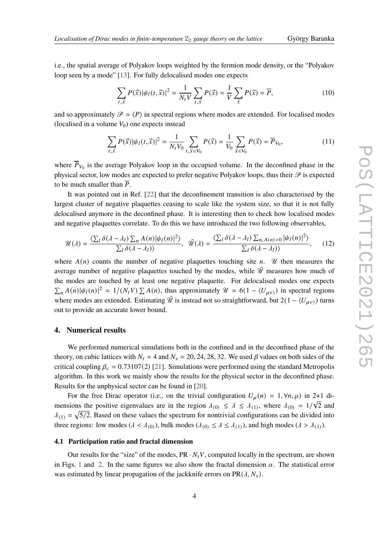i.e., the spatial average of Polyakov loops weighted by the fermion mode density, or the "Polyakov loop seen by a mode" [\[13\]](#page-7-2). For fully delocalised modes one expects

$$
\sum_{t,\vec{x}} P(\vec{x}) |\psi_l(t,\vec{x})|^2 \simeq \frac{1}{N_t V} \sum_{t,\vec{x}} P(\vec{x}) = \frac{1}{V} \sum_{\vec{x}} P(\vec{x}) = \overline{P},\tag{10}
$$

and so approximately  $\mathcal{P} \simeq \langle P \rangle$  in spectral regions where modes are extended. For localised modes (localised in a volume  $V_0$ ) one expects instead

$$
\sum_{t,\vec{x}} P(\vec{x}) |\psi_l(t,\vec{x})|^2 \simeq \frac{1}{N_t V_0} \sum_{t,\vec{x} \in V_0} P(\vec{x}) = \frac{1}{V_0} \sum_{\vec{x} \in V_0} P(\vec{x}) = \overline{P}_{V_0},\tag{11}
$$

where  $\overline{P}_{V_0}$  is the average Polyakov loop in the occupied volume. In the deconfined phase in the physical sector, low modes are expected to prefer negative Polyakov loops, thus their  $\mathcal P$  is expected to be much smaller than  $\overline{P}$ .

It was pointed out in Ref. [\[22\]](#page-7-10) that the deconfinement transition is also characterised by the largest cluster of negative plaquettes ceasing to scale like the system size, so that it is not fully delocalised anymore in the deconfined phase. It is interesting then to check how localised modes and negative plaquettes correlate. To do this we have introduced the two following observables,

$$
\mathcal{U}(\lambda) = \frac{\langle \sum_{l} \delta(\lambda - \lambda_{l}) \sum_{n} A(n) |\psi_{l}(n)|^{2} \rangle}{\sum_{l} \delta(\lambda - \lambda_{l})}, \quad \tilde{\mathcal{U}}(\lambda) = \frac{\langle \sum_{l} \delta(\lambda - \lambda_{l}) \sum_{n, A(n) > 0} |\psi_{l}(n)|^{2} \rangle}{\sum_{l} \delta(\lambda - \lambda_{l})}, \quad (12)
$$

where  $A(n)$  counts the number of negative plaquettes touching site n.  $\mathcal U$  then measures the average number of negative plaquettes touched by the modes, while  $\tilde{\mathcal{U}}$  measures how much of the modes are touched by at least one negative plaquette. For delocalised modes one expects  $\sum_n A(n) |\psi_l(n)|^2 \approx 1/(N_t V) \sum_n A(n)$ , thus approximately  $\mathcal{U} \approx 6(1 - \langle U_{\mu\nu} \rangle)$  in spectral regions where modes are extended. Estimating  $\tilde{\mathcal{U}}$  is instead not so straightforward, but 2(1 –  $\langle U_{\mu\nu}\rangle$ ) turns out to provide an accurate lower bound.

#### **4. Numerical results**

We performed numerical simulations both in the confined and in the deconfined phase of the theory, on cubic lattices with  $N_t = 4$  and  $N_s = 20, 24, 28, 32$ . We used  $\beta$  values on both sides of the critical coupling  $\beta_c = 0.73107(2)$  [\[21\]](#page-7-9). Simulations were performed using the standard Metropolis algorithm. In this work we mainly show the results for the physical sector in the deconfined phase. Results for the unphysical sector can be found in [\[20\]](#page-7-8).

For the free Dirac operator (i.e., on the trivial configuration  $U_{\mu}(n) = 1, \forall n, \mu$ ) in 2+1 dimensions the positive eigenvalues are in the region  $\lambda_{(0)} \leq \lambda \leq \lambda_{(1)}$ , where  $\lambda_{(0)} = 1/\sqrt{2}$  and  $\lambda_{(1)} = \sqrt{5/2}$ . Based on these values the spectrum for nontrivial configurations can be divided into three regions: low modes ( $\lambda < \lambda_{(0)}$ ), bulk modes ( $\lambda_{(0)} \leq \lambda \leq \lambda_{(1)}$ ), and high modes ( $\lambda > \lambda_{(1)}$ ).

#### **4.1 Participation ratio and fractal dimension**

Our results for the "size" of the modes,  $PR \cdot N_t V$ , computed locally in the spectrum, are shown in Figs. [1](#page-4-0) and [2.](#page-4-1) In the same figures we also show the fractal dimension  $\alpha$ . The statistical error was estimated by linear propagation of the jackknife errors on  $PR(\lambda, N_s)$ .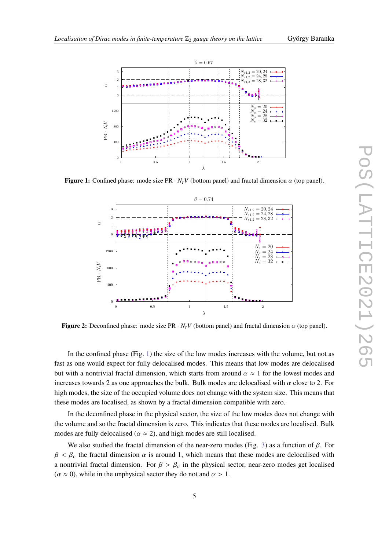<span id="page-4-0"></span>

<span id="page-4-1"></span>**Figure 1:** Confined phase: mode size  $PR \cdot N_t V$  (bottom panel) and fractal dimension  $\alpha$  (top panel).



**Figure 2:** Deconfined phase: mode size PR  $\cdot N_t V$  (bottom panel) and fractal dimension  $\alpha$  (top panel).

In the confined phase (Fig. [1\)](#page-4-0) the size of the low modes increases with the volume, but not as fast as one would expect for fully delocalised modes. This means that low modes are delocalised but with a nontrivial fractal dimension, which starts from around  $\alpha \approx 1$  for the lowest modes and increases towards 2 as one approaches the bulk. Bulk modes are delocalised with  $\alpha$  close to 2. For high modes, the size of the occupied volume does not change with the system size. This means that these modes are localised, as shown by a fractal dimension compatible with zero.

In the deconfined phase in the physical sector, the size of the low modes does not change with the volume and so the fractal dimension is zero. This indicates that these modes are localised. Bulk modes are fully delocalised ( $\alpha \approx 2$ ), and high modes are still localised.

We also studied the fractal dimension of the near-zero modes (Fig. [3\)](#page-5-0) as a function of  $\beta$ . For  $\beta < \beta_c$  the fractal dimension  $\alpha$  is around 1, which means that these modes are delocalised with a nontrivial fractal dimension. For  $\beta > \beta_c$  in the physical sector, near-zero modes get localised  $(\alpha \approx 0)$ , while in the unphysical sector they do not and  $\alpha > 1$ .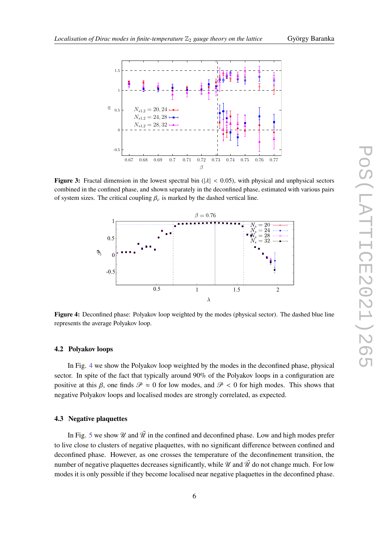<span id="page-5-0"></span>

<span id="page-5-1"></span>**Figure 3:** Fractal dimension in the lowest spectral bin ( $|\lambda| < 0.05$ ), with physical and unphysical sectors combined in the confined phase, and shown separately in the deconfined phase, estimated with various pairs of system sizes. The critical coupling  $\beta_c$  is marked by the dashed vertical line.



**Figure 4:** Deconfined phase: Polyakov loop weighted by the modes (physical sector). The dashed blue line represents the average Polyakov loop.

#### **4.2 Polyakov loops**

In Fig. [4](#page-5-1) we show the Polyakov loop weighted by the modes in the deconfined phase, physical sector. In spite of the fact that typically around 90% of the Polyakov loops in a configuration are positive at this  $\beta$ , one finds  $\mathcal{P} \approx 0$  for low modes, and  $\mathcal{P} < 0$  for high modes. This shows that negative Polyakov loops and localised modes are strongly correlated, as expected.

#### **4.3 Negative plaquettes**

In Fig. [5](#page-6-4) we show  $\mathcal U$  and  $\tilde \mathcal U$  in the confined and deconfined phase. Low and high modes prefer to live close to clusters of negative plaquettes, with no significant difference between confined and deconfined phase. However, as one crosses the temperature of the deconfinement transition, the number of negative plaquettes decreases significantly, while  $\mathcal{U}$  and  $\tilde{\mathcal{U}}$  do not change much. For low modes it is only possible if they become localised near negative plaquettes in the deconfined phase.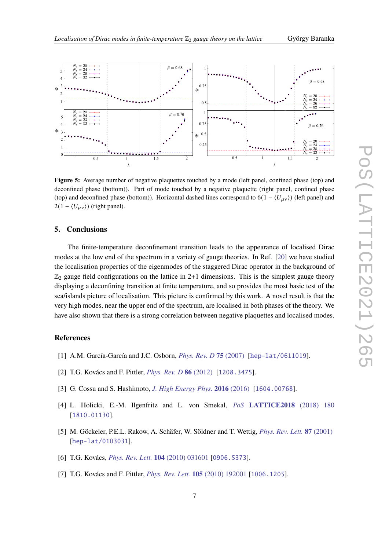<span id="page-6-4"></span>

**Figure 5:** Average number of negative plaquettes touched by a mode (left panel, confined phase (top) and deconfined phase (bottom)). Part of mode touched by a negative plaquette (right panel, confined phase (top) and deconfined phase (bottom)). Horizontal dashed lines correspond to  $6(1 - \langle U_{\mu\nu} \rangle)$  (left panel) and  $2(1 - \langle U_{\mu\nu} \rangle)$  (right panel).

#### **5. Conclusions**

The finite-temperature deconfinement transition leads to the appearance of localised Dirac modes at the low end of the spectrum in a variety of gauge theories. In Ref. [\[20\]](#page-7-8) we have studied the localisation properties of the eigenmodes of the staggered Dirac operator in the background of  $\mathbb{Z}_2$  gauge field configurations on the lattice in 2+1 dimensions. This is the simplest gauge theory displaying a deconfining transition at finite temperature, and so provides the most basic test of the sea/islands picture of localisation. This picture is confirmed by this work. A novel result is that the very high modes, near the upper end of the spectrum, are localised in both phases of the theory. We have also shown that there is a strong correlation between negative plaquettes and localised modes.

#### **References**

- <span id="page-6-0"></span>[1] A.M. García-García and J.C. Osborn, *[Phys. Rev. D](https://doi.org/10.1103/physrevd.75.034503)* **75** (2007) [[hep-lat/0611019](https://arxiv.org/abs/hep-lat/0611019)].
- [2] T.G. Kovács and F. Pittler, *[Phys. Rev. D](https://doi.org/10.1103/physrevd.86.114515)* **86** (2012) [[1208.3475](https://arxiv.org/abs/1208.3475)].
- <span id="page-6-3"></span>[3] G. Cossu and S. Hashimoto, *[J. High Energy Phys.](https://doi.org/10.1007/jhep06(2016)056)* **2016** (2016) [[1604.00768](https://arxiv.org/abs/1604.00768)].
- <span id="page-6-1"></span>[4] L. Holicki, E.-M. Ilgenfritz and L. von Smekal, *PoS* **[LATTICE2018](https://doi.org/10.22323/1.334.0180)** (2018) 180 [[1810.01130](https://arxiv.org/abs/1810.01130)].
- <span id="page-6-2"></span>[5] M. Göckeler, P.E.L. Rakow, A. Schäfer, W. Söldner and T. Wettig, *[Phys. Rev. Lett.](https://doi.org/10.1103/physrevlett.87.042001)* **87** (2001) [[hep-lat/0103031](https://arxiv.org/abs/hep-lat/0103031)].
- [6] T.G. Kovács, *[Phys. Rev. Lett.](https://doi.org/10.1103/PhysRevLett.104.031601)* **104** (2010) 031601 [[0906.5373](https://arxiv.org/abs/0906.5373)].
- [7] T.G. Kovács and F. Pittler, *[Phys. Rev. Lett.](https://doi.org/10.1103/PhysRevLett.105.192001)* **105** (2010) 192001 [[1006.1205](https://arxiv.org/abs/1006.1205)].